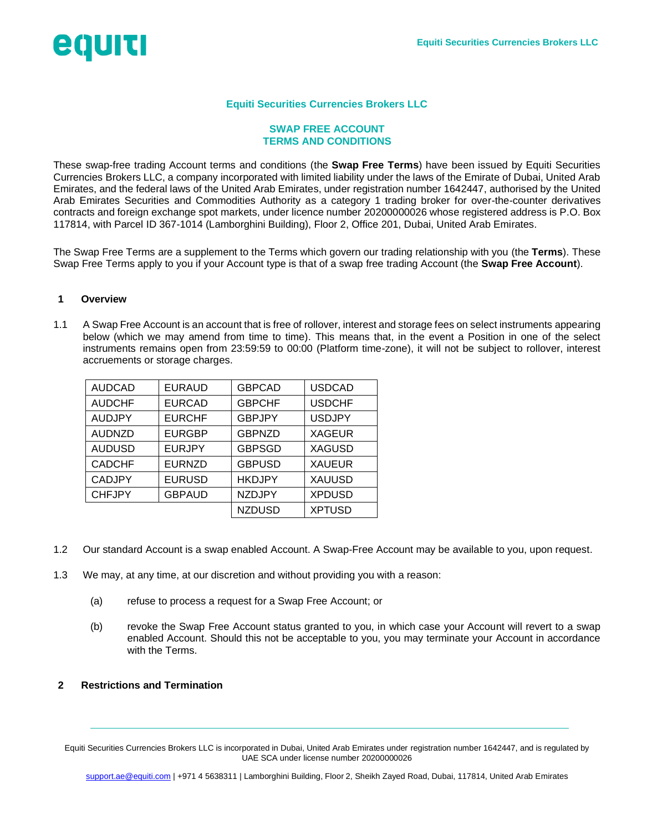# egurti

## **Equiti Securities Currencies Brokers LLC**

#### **SWAP FREE ACCOUNT TERMS AND CONDITIONS**

These swap-free trading Account terms and conditions (the **Swap Free Terms**) have been issued by Equiti Securities Currencies Brokers LLC, a company incorporated with limited liability under the laws of the Emirate of Dubai, United Arab Emirates, and the federal laws of the United Arab Emirates, under registration number 1642447, authorised by the United Arab Emirates Securities and Commodities Authority as a category 1 trading broker for over-the-counter derivatives contracts and foreign exchange spot markets, under licence number 20200000026 whose registered address is P.O. Box 117814, with Parcel ID 367-1014 (Lamborghini Building), Floor 2, Office 201, Dubai, United Arab Emirates.

The Swap Free Terms are a supplement to the Terms which govern our trading relationship with you (the **Terms**). These Swap Free Terms apply to you if your Account type is that of a swap free trading Account (the **Swap Free Account**).

## **1 Overview**

1.1 A Swap Free Account is an account that is free of rollover, interest and storage fees on select instruments appearing below (which we may amend from time to time). This means that, in the event a Position in one of the select instruments remains open from 23:59:59 to 00:00 (Platform time-zone), it will not be subject to rollover, interest accruements or storage charges.

| <b>AUDCAD</b> | <b>EURAUD</b> | <b>GBPCAD</b> | <b>USDCAD</b> |
|---------------|---------------|---------------|---------------|
| <b>AUDCHF</b> | <b>EURCAD</b> | <b>GBPCHF</b> | <b>USDCHF</b> |
| <b>AUDJPY</b> | <b>EURCHF</b> | <b>GBPJPY</b> | <b>USDJPY</b> |
| <b>AUDNZD</b> | <b>EURGBP</b> | <b>GBPNZD</b> | <b>XAGEUR</b> |
| <b>AUDUSD</b> | <b>EURJPY</b> | <b>GBPSGD</b> | <b>XAGUSD</b> |
| <b>CADCHF</b> | <b>EURNZD</b> | <b>GBPUSD</b> | <b>XAUEUR</b> |
| <b>CADJPY</b> | <b>EURUSD</b> | <b>HKDJPY</b> | <b>XAUUSD</b> |
| <b>CHFJPY</b> | <b>GBPAUD</b> | <b>NZDJPY</b> | <b>XPDUSD</b> |
|               |               | <b>NZDUSD</b> | <b>XPTUSD</b> |

- 1.2 Our standard Account is a swap enabled Account. A Swap-Free Account may be available to you, upon request.
- 1.3 We may, at any time, at our discretion and without providing you with a reason:
	- (a) refuse to process a request for a Swap Free Account; or
	- (b) revoke the Swap Free Account status granted to you, in which case your Account will revert to a swap enabled Account. Should this not be acceptable to you, you may terminate your Account in accordance with the Terms.

## **2 Restrictions and Termination**

Equiti Securities Currencies Brokers LLC is incorporated in Dubai, United Arab Emirates under registration number 1642447, and is regulated by UAE SCA under license number 20200000026